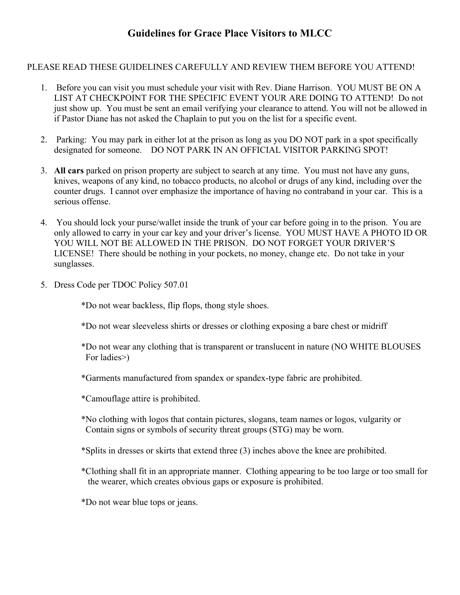## **Guidelines for Grace Place Visitors to MLCC**

## PLEASE READ THESE GUIDELINES CAREFULLY AND REVIEW THEM BEFORE YOU ATTEND!

- 1. Before you can visit you must schedule your visit with Rev. Diane Harrison. YOU MUST BE ON A LIST AT CHECKPOINT FOR THE SPECIFIC EVENT YOUR ARE DOING TO ATTEND! Do not just show up. You must be sent an email verifying your clearance to attend. You will not be allowed in if Pastor Diane has not asked the Chaplain to put you on the list for a specific event.
- 2. Parking: You may park in either lot at the prison as long as you DO NOT park in a spot specifically designated for someone. DO NOT PARK IN AN OFFICIAL VISITOR PARKING SPOT!
- 3. **All cars** parked on prison property are subject to search at any time. You must not have any guns, knives, weapons of any kind, no tobacco products, no alcohol or drugs of any kind, including over the counter drugs. I cannot over emphasize the importance of having no contraband in your car. This is a serious offense.
- 4. You should lock your purse/wallet inside the trunk of your car before going in to the prison. You are only allowed to carry in your car key and your driver's license. YOU MUST HAVE A PHOTO ID OR YOU WILL NOT BE ALLOWED IN THE PRISON. DO NOT FORGET YOUR DRIVER'S LICENSE! There should be nothing in your pockets, no money, change etc. Do not take in your sunglasses.
- 5. Dress Code per TDOC Policy 507.01

\*Do not wear backless, flip flops, thong style shoes.

- \*Do not wear sleeveless shirts or dresses or clothing exposing a bare chest or midriff
- \*Do not wear any clothing that is transparent or translucent in nature (NO WHITE BLOUSES For ladies>)
- \*Garments manufactured from spandex or spandex-type fabric are prohibited.
- \*Camouflage attire is prohibited.
- \*No clothing with logos that contain pictures, slogans, team names or logos, vulgarity or Contain signs or symbols of security threat groups (STG) may be worn.
- \*Splits in dresses or skirts that extend three (3) inches above the knee are prohibited.
- \*Clothing shall fit in an appropriate manner. Clothing appearing to be too large or too small for the wearer, which creates obvious gaps or exposure is prohibited.

\*Do not wear blue tops or jeans.